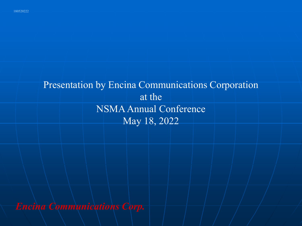## Presentation by Encina Communications Corporation at the NSMA Annual Conference May 18, 2022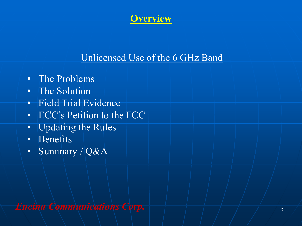

## Unlicensed Use of the 6 GHz Band

- The Problems
- The Solution
- Field Trial Evidence
- ECC's Petition to the FCC
- Updating the Rules
- Benefits
- Summary / Q&A

*Encina Communications Corp.*  $\left|\frac{1}{2}, \frac{1}{2}\right|$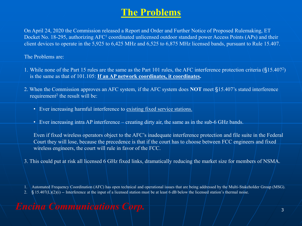## **The Problems**

On April 24, 2020 the Commission released a Report and Order and Further Notice of Proposed Rulemaking, ET Docket No. 18-295, authorizing AFC<sup>1</sup> coordinated unlicensed outdoor standard power Access Points (APs) and their client devices to operate in the 5,925 to 6,425 MHz and 6,525 to 6,875 MHz licensed bands, pursuant to Rule 15.407.

The Problems are:

- 1. While none of the Part 15 rules are the same as the Part 101 rules, the AFC interference protection criteria (§15.407<sup>2</sup> ) is the same as that of 101.105: **If an AP network coordinates, it coordinates.**
- 2. When the Commission approves an AFC system, if the AFC system does **NOT** meet §15.407's stated interference requirement<sup>2</sup> the result will be:
	- Ever increasing harmful interference to existing fixed service stations.
	- Ever increasing intra AP interference creating dirty air, the same as in the sub-6 GHz bands.

Even if fixed wireless operators object to the AFC's inadequate interference protection and file suite in the Federal Court they will lose, because the precedence is that if the court has to choose between FCC engineers and fixed wireless engineers, the court will rule in favor of the FCC.

3. This could put at risk all licensed 6 GHz fixed links, dramatically reducing the market size for members of NSMA.

1. Automated Frequency Coordination (AFC) has open technical and operational issues that are being addressed by the Multi-Stakeholder Group (MSG).

2.  $\S$  15.407(L)(2)(i) -- Interference at the input of a licensed station must be at least 6 dB below the licensed station's thermal noise.

#### *Encina Communications Corp.*  $\begin{array}{c} \hline \end{array}$   $\begin{array}{c} \hline \end{array}$   $\begin{array}{c} \hline \end{array}$  3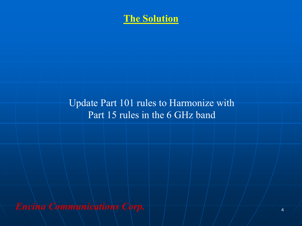

## Update Part 101 rules to Harmonize with Part 15 rules in the 6 GHz band

*Encina Communications Corp.*  $\left|\frac{a}{b} + \frac{a}{c}\right|$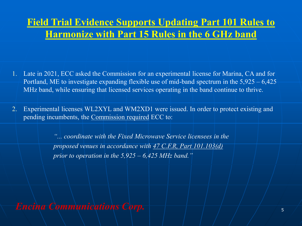## **Field Trial Evidence Supports Updating Part 101 Rules to Harmonize with Part 15 Rules in the 6 GHz band**

- 1. Late in 2021, ECC asked the Commission for an experimental license for Marina, CA and for Portland, ME to investigate expanding flexible use of mid-band spectrum in the 5,925 – 6,425 MHz band, while ensuring that licensed services operating in the band continue to thrive.
- 2. Experimental licenses WL2XYL and WM2XD1 were issued. In order to protect existing and pending incumbents, the Commission required ECC to:

*"... coordinate with the Fixed Microwave Service licensees in the proposed venues in accordance with 47 C.F.R, Part 101.103(d) prior to operation in the 5,925 – 6,425 MHz band."*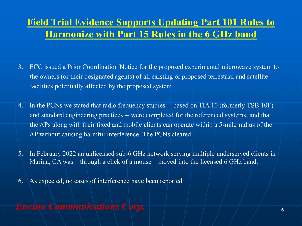## **Field Trial Evidence Supports Updating Part 101 Rules to Harmonize with Part 15 Rules in the 6 GHz band**

- 3. ECC issued a Prior Coordination Notice for the proposed experimental microwave system to the owners (or their designated agents) of all existing or proposed terrestrial and satellite facilities potentially affected by the proposed system.
- 4. In the PCNs we stated that radio frequency studies -- based on TIA 10 (formerly TSB 10F) and standard engineering practices -- were completed for the referenced systems, and that the APs along with their fixed and mobile clients can operate within a 5-mile radius of the AP without causing harmful interference. The PCNs cleared.
- 5. In February 2022 an unlicensed sub-6 GHz network serving multiple underserved clients in Marina, CA was – through a click of a mouse – moved into the licensed 6 GHz band.
- 6. As expected, no cases of interference have been reported.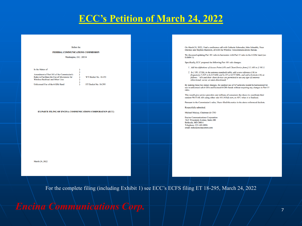#### **ECC's Petition of March 24, 2022**

#### **Before** the

FEDERAL COMMUNICATIONS COMMISSION

Washington, D.C. 20554

#### In the Matter of

Amendment of Part 101 of the Commission's Rules to Facilitate the Use of Microwave for Wireless Backhaul and Other Uses

**WT Docket No. 10-153** ET Docket No. 18-295

Unlicensed Use of the 6 GHz Band

EX PARTE FILING OF ENCINA COMMUNICATIONS CORPORATION (ECC)

March 24, 2022

On March 24, 2022, I had a conference call with Catherin Schroeder, John Schauble, Peter Daronco and Stephen Buenzow, all with the Wireless Telecommunications Bureau.

We discussed updating Part 101 rules to harmonize with Part 15 rules in the 6 GHz band (see Exhibit 1).

Specifically, ECC proposed the following Part 101 rule changes:

1. Add the definitions of Access Point (AP) and Client Device from § 15.403 to § 101.3.

2. In § 101.115(b), in the antenna standards table, add a new reference (16) to frequencies 5,925 to 6,425 MHz and 6,525 to 6,875 MHz, and add a footnote (16) as follows: "APs and their client devices are permitted to use any type of antenna (directional, sector, or omni-directional).

By making these two minor changes, the outdoor use of AP networks would be harmonized for use in unlicensed sub-6 GHz and licensed 6 GHz bands without requiring any changes to Part 15 rules.

This would give service providers and millions of consumers the choice to coordinate their outdoor Wi-Fi 6E APs using either rule 101.103(d) now, or AFC when it is finalized.

Pursuant to the Commission's rules, I have filed this notice in the above referenced dockets.

Respectfully submitted.

Michael Mulcay, Chairman & CTO

**Encina Communications Corporation** 7625 Wisconsin Avenue, Suite 200 Bethesda MD 20814 Telephone: 831-601-0086 email: mike@encinacomm.com

For the complete filing (including Exhibit 1) see ECC's ECFS filing ET 18-295, March 24, 2022

*Encina Communications Corp.*  $\left|\frac{a}{b}-\frac{a}{c}\right|$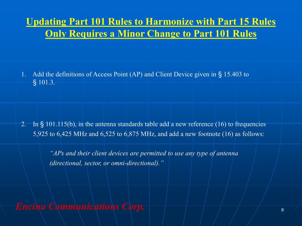## **Updating Part 101 Rules to Harmonize with Part 15 Rules Only Requires a Minor Change to Part 101 Rules**

1. Add the definitions of Access Point (AP) and Client Device given in § 15.403 to § 101.3.

2. In § 101.115(b), in the antenna standards table add a new reference (16) to frequencies 5,925 to 6,425 MHz and 6,525 to 6,875 MHz, and add a new footnote (16) as follows:

> *"APs and their client devices are permitted to use any type of antenna (directional, sector, or omni-directional)."*

*Encina Communications Corp.*  $\left|\frac{a}{b} + \frac{a}{c}\right|$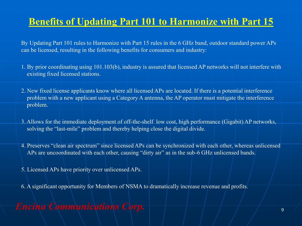## **Benefits of Updating Part 101 to Harmonize with Part 15**

By Updating Part 101 rules to Harmonize with Part 15 rules in the 6 GHz band, outdoor standard power APs can be licensed, resulting in the following benefits for consumers and industry:

- 1. By prior coordinating using 101.103(b), industry is assured that licensed AP networks will not interfere with existing fixed licensed stations.
- 2. New fixed license applicants know where all licensed APs are located. If there is a potential interference problem with a new applicant using a Category A antenna, the AP operator must mitigate the interference problem.
- 3. Allows for the immediate deployment of off-the-shelf low cost, high performance (Gigabit) AP networks, solving the "last-mile" problem and thereby helping close the digital divide.
- 4. Preserves "clean air spectrum" since licensed APs can be synchronized with each other, whereas unlicensed APs are uncoordinated with each other, causing "dirty air" as in the sub-6 GHz unlicensed bands.
- 5. Licensed APs have priority over unlicensed APs.
- 6. A significant opportunity for Members of NSMA to dramatically increase revenue and profits.

## *Encina Communications Corp.* <sup>9</sup>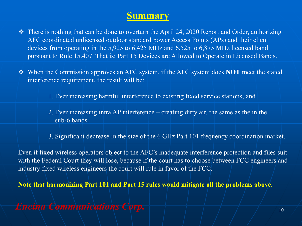#### **Summary**

- ❖ There is nothing that can be done to overturn the April 24, 2020 Report and Order, authorizing AFC coordinated unlicensed outdoor standard power Access Points (APs) and their client devices from operating in the 5,925 to 6,425 MHz and 6,525 to 6,875 MHz licensed band pursuant to Rule 15.407. That is: Part 15 Devices are Allowed to Operate in Licensed Bands.
- ❖ When the Commission approves an AFC system, if the AFC system does **NOT** meet the stated interference requirement, the result will be:
	- 1. Ever increasing harmful interference to existing fixed service stations, and
	- 2. Ever increasing intra AP interference creating dirty air, the same as the in the sub-6 bands.
	- 3. Significant decrease in the size of the 6 GHz Part 101 frequency coordination market.

Even if fixed wireless operators object to the AFC's inadequate interference protection and files suit with the Federal Court they will lose, because if the court has to choose between FCC engineers and industry fixed wireless engineers the court will rule in favor of the FCC.

**Note that harmonizing Part 101 and Part 15 rules would mitigate all the problems above.**

*Encina Communications Corp.* <sup>10</sup>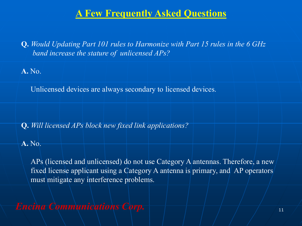**Q.** *Would Updating Part 101 rules to Harmonize with Part 15 rules in the 6 GHz band increase the stature of unlicensed APs?* 

**A.** No.

Unlicensed devices are always secondary to licensed devices.

**Q.** *Will licensed APs block new fixed link applications?*

**A.** No.

APs (licensed and unlicensed) do not use Category A antennas. Therefore, a new fixed license applicant using a Category A antenna is primary, and AP operators must mitigate any interference problems.

*Encina Communications Corp.* 11 11 11 11 11 11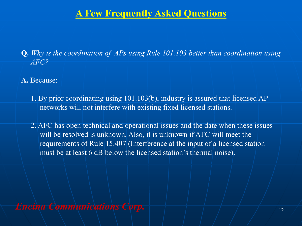- **Q.** *Why is the coordination of APs using Rule 101.103 better than coordination using AFC?*
- **A.** Because:
	- 1. By prior coordinating using 101.103(b), industry is assured that licensed AP networks will not interfere with existing fixed licensed stations.
	- 2. AFC has open technical and operational issues and the date when these issues will be resolved is unknown. Also, it is unknown if AFC will meet the requirements of Rule 15.407 (Interference at the input of a licensed station must be at least 6 dB below the licensed station's thermal noise).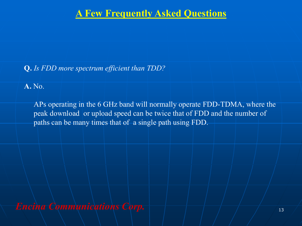#### **Q.** *Is FDD more spectrum efficient than TDD?*

**A.** No.

APs operating in the 6 GHz band will normally operate FDD-TDMA, where the peak download or upload speed can be twice that of FDD and the number of paths can be many times that of a single path using FDD.

*Encina Communications Corp.* <sup>13</sup>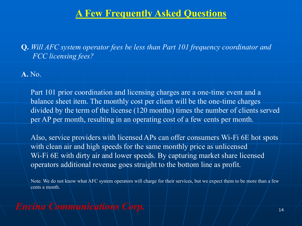**Q.** *Will AFC system operator fees be less than Part 101 frequency coordinator and FCC licensing fees?* 

**A.** No.

Part 101 prior coordination and licensing charges are a one-time event and a balance sheet item. The monthly cost per client will be the one-time charges divided by the term of the license (120 months) times the number of clients served per AP per month, resulting in an operating cost of a few cents per month.

Also, service providers with licensed APs can offer consumers Wi-Fi 6E hot spots with clean air and high speeds for the same monthly price as unlicensed Wi-Fi 6E with dirty air and lower speeds. By capturing market share licensed operators additional revenue goes straight to the bottom line as profit.

Note. We do not know what AFC system operators will charge for their services, but we expect them to be more than a few cents a month.

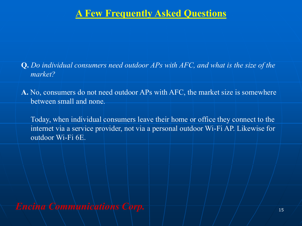- **Q.** *Do individual consumers need outdoor APs with AFC, and what is the size of the market?*
- **A.** No, consumers do not need outdoor APs with AFC, the market size is somewhere between small and none.

Today, when individual consumers leave their home or office they connect to the internet via a service provider, not via a personal outdoor Wi-Fi AP. Likewise for outdoor Wi-Fi 6E.